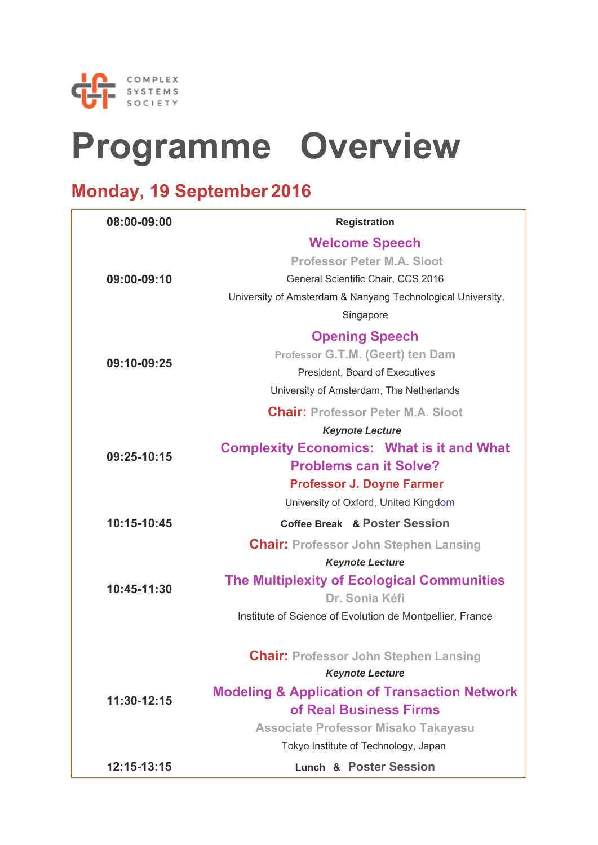

# **Programme Overview**

### **Monday, 19 September 2016**

| 08:00-09:00 | <b>Registration</b>                                         |
|-------------|-------------------------------------------------------------|
|             | <b>Welcome Speech</b>                                       |
|             | <b>Professor Peter M.A. Sloot</b>                           |
| 09:00-09:10 | General Scientific Chair, CCS 2016                          |
|             | University of Amsterdam & Nanyang Technological University, |
|             | Singapore                                                   |
|             | <b>Opening Speech</b>                                       |
|             | Professor G.T.M. (Geert) ten Dam                            |
| 09:10-09:25 | President, Board of Executives                              |
|             | University of Amsterdam, The Netherlands                    |
|             | <b>Chair: Professor Peter M.A. Sloot</b>                    |
|             | <b>Keynote Lecture</b>                                      |
|             | <b>Complexity Economics: What is it and What</b>            |
| 09:25-10:15 | <b>Problems can it Solve?</b>                               |
|             | <b>Professor J. Doyne Farmer</b>                            |
|             | University of Oxford, United Kingdom                        |
| 10:15-10:45 | <b>Coffee Break &amp; Poster Session</b>                    |
|             | <b>Chair: Professor John Stephen Lansing</b>                |
|             | <b>Keynote Lecture</b>                                      |
| 10:45-11:30 | <b>The Multiplexity of Ecological Communities</b>           |
|             | Dr. Sonia Kéfi                                              |
|             | Institute of Science of Evolution de Montpellier, France    |
|             | <b>Chair: Professor John Stephen Lansing</b>                |
|             | <b>Keynote Lecture</b>                                      |
|             | <b>Modeling &amp; Application of Transaction Network</b>    |
| 11:30-12:15 | of Real Business Firms                                      |
|             | <b>Associate Professor Misako Takayasu</b>                  |
|             | Tokyo Institute of Technology, Japan                        |
| 12:15-13:15 | <b>Lunch &amp; Poster Session</b>                           |
|             |                                                             |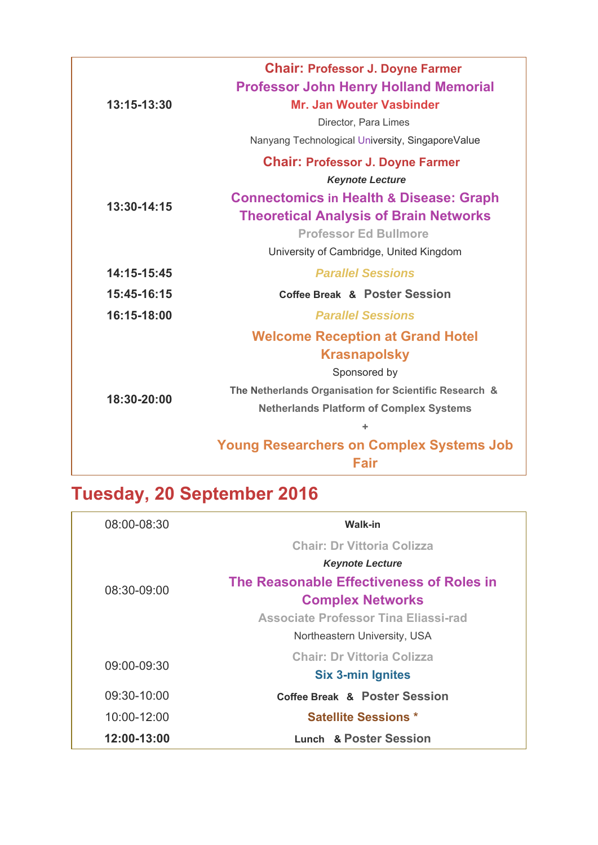| 13:15-13:30 | <b>Chair: Professor J. Doyne Farmer</b><br><b>Professor John Henry Holland Memorial</b> |
|-------------|-----------------------------------------------------------------------------------------|
|             | Mr. Jan Wouter Vasbinder                                                                |
|             | Director, Para Limes                                                                    |
|             | Nanyang Technological University, SingaporeValue                                        |
|             | <b>Chair: Professor J. Doyne Farmer</b>                                                 |
|             | <b>Keynote Lecture</b>                                                                  |
| 13:30-14:15 | <b>Connectomics in Health &amp; Disease: Graph</b>                                      |
|             | <b>Theoretical Analysis of Brain Networks</b>                                           |
|             | <b>Professor Ed Bullmore</b>                                                            |
|             | University of Cambridge, United Kingdom                                                 |
| 14:15-15:45 | <b>Parallel Sessions</b>                                                                |
| 15:45-16:15 | <b>Coffee Break &amp; Poster Session</b>                                                |
| 16:15-18:00 | <b>Parallel Sessions</b>                                                                |
|             | <b>Welcome Reception at Grand Hotel</b>                                                 |
|             | <b>Krasnapolsky</b>                                                                     |
|             | Sponsored by                                                                            |
| 18:30-20:00 | The Netherlands Organisation for Scientific Research &                                  |
|             | <b>Netherlands Platform of Complex Systems</b>                                          |
|             |                                                                                         |
|             | <b>Young Researchers on Complex Systems Job</b>                                         |
|             | <b>Fair</b>                                                                             |

## **Tuesday, 20 September 2016**

| $08:00 - 08:30$ | <b>Walk-in</b>                              |
|-----------------|---------------------------------------------|
|                 | <b>Chair: Dr Vittoria Colizza</b>           |
|                 | <b>Keynote Lecture</b>                      |
| 08:30-09:00     | The Reasonable Effectiveness of Roles in    |
|                 | <b>Complex Networks</b>                     |
|                 | <b>Associate Professor Tina Eliassi-rad</b> |
|                 | Northeastern University, USA                |
| 09:00-09:30     | <b>Chair: Dr Vittoria Colizza</b>           |
|                 | <b>Six 3-min Ignites</b>                    |
| 09:30-10:00     | Coffee Break & Poster Session               |
| 10:00-12:00     | <b>Satellite Sessions *</b>                 |
| 12:00-13:00     | Lunch & Poster Session                      |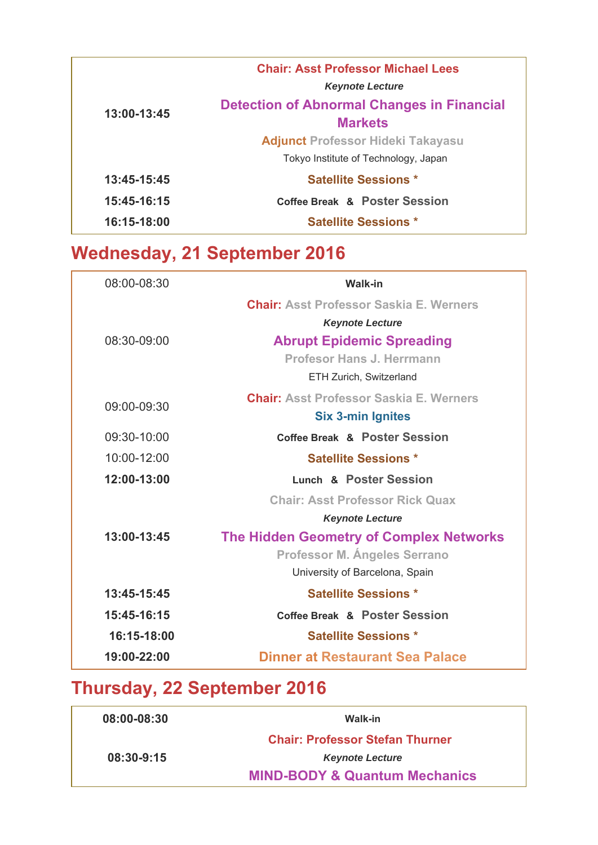| 13:00-13:45 | <b>Chair: Asst Professor Michael Lees</b>         |
|-------------|---------------------------------------------------|
|             | <b>Keynote Lecture</b>                            |
|             | <b>Detection of Abnormal Changes in Financial</b> |
|             | <b>Markets</b>                                    |
|             | <b>Adjunct Professor Hideki Takayasu</b>          |
|             | Tokyo Institute of Technology, Japan              |
| 13:45-15:45 | <b>Satellite Sessions *</b>                       |
| 15:45-16:15 | <b>Coffee Break &amp; Poster Session</b>          |
| 16:15-18:00 | <b>Satellite Sessions *</b>                       |

### **Wednesday, 21 September 2016**

| 08:00-08:30 | <b>Walk-in</b>                                 |
|-------------|------------------------------------------------|
|             | <b>Chair: Asst Professor Saskia E. Werners</b> |
|             | <b>Keynote Lecture</b>                         |
| 08:30-09:00 | <b>Abrupt Epidemic Spreading</b>               |
|             | Profesor Hans J. Herrmann                      |
|             | ETH Zurich, Switzerland                        |
| 09:00-09:30 | <b>Chair: Asst Professor Saskia E. Werners</b> |
|             | <b>Six 3-min Ignites</b>                       |
| 09:30-10:00 | Coffee Break & Poster Session                  |
| 10:00-12:00 | <b>Satellite Sessions *</b>                    |
| 12:00-13:00 | <b>Lunch &amp; Poster Session</b>              |
|             | <b>Chair: Asst Professor Rick Quax</b>         |
|             | <b>Keynote Lecture</b>                         |
| 13:00-13:45 | <b>The Hidden Geometry of Complex Networks</b> |
|             | <b>Professor M. Angeles Serrano</b>            |
|             | University of Barcelona, Spain                 |
| 13:45-15:45 | <b>Satellite Sessions *</b>                    |
| 15:45-16:15 | Coffee Break & Poster Session                  |
| 16:15-18:00 | <b>Satellite Sessions *</b>                    |
| 19:00-22:00 | Dinner at Restaurant Sea Palace                |

## **Thursday, 22 September 2016**

| 08:00-08:30 | Walk-in                                  |
|-------------|------------------------------------------|
|             | <b>Chair: Professor Stefan Thurner</b>   |
| 08:30-9:15  | <b>Keynote Lecture</b>                   |
|             | <b>MIND-BODY &amp; Quantum Mechanics</b> |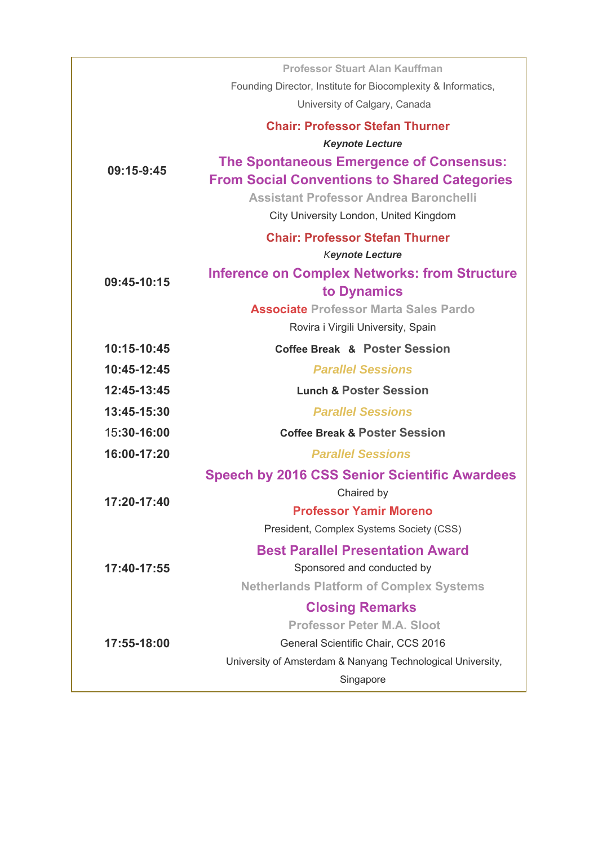|             | Professor Stuart Alan Kauffman                                      |
|-------------|---------------------------------------------------------------------|
|             | Founding Director, Institute for Biocomplexity & Informatics,       |
|             | University of Calgary, Canada                                       |
|             | <b>Chair: Professor Stefan Thurner</b>                              |
|             | <b>Keynote Lecture</b>                                              |
| 09:15-9:45  | The Spontaneous Emergence of Consensus:                             |
|             | <b>From Social Conventions to Shared Categories</b>                 |
|             | <b>Assistant Professor Andrea Baronchelli</b>                       |
|             | City University London, United Kingdom                              |
|             | <b>Chair: Professor Stefan Thurner</b>                              |
|             | <b>Keynote Lecture</b>                                              |
| 09:45-10:15 | <b>Inference on Complex Networks: from Structure</b><br>to Dynamics |
|             | <b>Associate Professor Marta Sales Pardo</b>                        |
|             | Rovira i Virgili University, Spain                                  |
| 10:15-10:45 | Coffee Break & Poster Session                                       |
| 10:45-12:45 | <b>Parallel Sessions</b>                                            |
| 12:45-13:45 | <b>Lunch &amp; Poster Session</b>                                   |
| 13:45-15:30 | <b>Parallel Sessions</b>                                            |
| 15:30-16:00 | <b>Coffee Break &amp; Poster Session</b>                            |
| 16:00-17:20 | <b>Parallel Sessions</b>                                            |
|             | <b>Speech by 2016 CSS Senior Scientific Awardees</b>                |
| 17:20-17:40 | Chaired by                                                          |
|             | <b>Professor Yamir Moreno</b>                                       |
|             | President, Complex Systems Society (CSS)                            |
|             | <b>Best Parallel Presentation Award</b>                             |
| 17:40-17:55 | Sponsored and conducted by                                          |
|             | <b>Netherlands Platform of Complex Systems</b>                      |
|             | <b>Closing Remarks</b>                                              |
|             | <b>Professor Peter M.A. Sloot</b>                                   |
| 17:55-18:00 | General Scientific Chair, CCS 2016                                  |
|             | University of Amsterdam & Nanyang Technological University,         |
|             | Singapore                                                           |